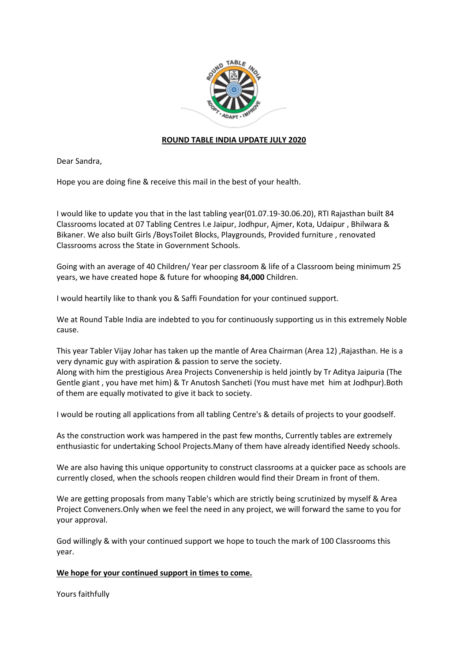

## **ROUND TABLE INDIA UPDATE JULY 2020**

Dear Sandra,

Hope you are doing fine & receive this mail in the best of your health.

I would like to update you that in the last tabling year(01.07.19-30.06.20), RTI Rajasthan built 84 Classrooms located at 07 Tabling Centres I.e Jaipur, Jodhpur, Ajmer, Kota, Udaipur , Bhilwara & Bikaner. We also built Girls /BoysToilet Blocks, Playgrounds, Provided furniture , renovated Classrooms across the State in Government Schools.

Going with an average of 40 Children/ Year per classroom & life of a Classroom being minimum 25 years, we have created hope & future for whooping **84,000** Children.

I would heartily like to thank you & Saffi Foundation for your continued support.

We at Round Table India are indebted to you for continuously supporting us in this extremely Noble cause.

This year Tabler Vijay Johar has taken up the mantle of Area Chairman (Area 12) ,Rajasthan. He is a very dynamic guy with aspiration & passion to serve the society.

Along with him the prestigious Area Projects Convenership is held jointly by Tr Aditya Jaipuria (The Gentle giant , you have met him) & Tr Anutosh Sancheti (You must have met him at Jodhpur).Both of them are equally motivated to give it back to society.

I would be routing all applications from all tabling Centre's & details of projects to your goodself.

As the construction work was hampered in the past few months, Currently tables are extremely enthusiastic for undertaking School Projects.Many of them have already identified Needy schools.

We are also having this unique opportunity to construct classrooms at a quicker pace as schools are currently closed, when the schools reopen children would find their Dream in front of them.

We are getting proposals from many Table's which are strictly being scrutinized by myself & Area Project Conveners.Only when we feel the need in any project, we will forward the same to you for your approval.

God willingly & with your continued support we hope to touch the mark of 100 Classrooms this year.

## **We hope for your continued support in times to come.**

Yours faithfully